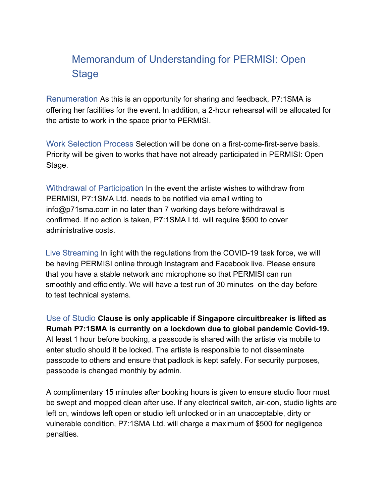## Memorandum of Understanding for PERMISI: Open **Stage**

Renumeration As this is an opportunity for sharing and feedback, P7:1SMA is offering her facilities for the event. In addition, a 2-hour rehearsal will be allocated for the artiste to work in the space prior to PERMISI.

Work Selection Process Selection will be done on a first-come-first-serve basis. Priority will be given to works that have not already participated in PERMISI: Open Stage.

Withdrawal of Participation In the event the artiste wishes to withdraw from PERMISI, P7:1SMA Ltd. needs to be notified via email writing to info@p71sma.com in no later than 7 working days before withdrawal is confirmed. If no action is taken, P7:1SMA Ltd. will require \$500 to cover administrative costs.

Live Streaming In light with the regulations from the COVID-19 task force, we will be having PERMISI online through Instagram and Facebook live. Please ensure that you have a stable network and microphone so that PERMISI can run smoothly and efficiently. We will have a test run of 30 minutes on the day before to test technical systems.

Use of Studio **Clause is only applicable if Singapore circuitbreaker is lifted as Rumah P7:1SMA is currently on a lockdown due to global pandemic Covid-19.** At least 1 hour before booking, a passcode is shared with the artiste via mobile to enter studio should it be locked. The artiste is responsible to not disseminate passcode to others and ensure that padlock is kept safely. For security purposes, passcode is changed monthly by admin.

A complimentary 15 minutes after booking hours is given to ensure studio floor must be swept and mopped clean after use. If any electrical switch, air-con, studio lights are left on, windows left open or studio left unlocked or in an unacceptable, dirty or vulnerable condition, P7:1SMA Ltd. will charge a maximum of \$500 for negligence penalties.